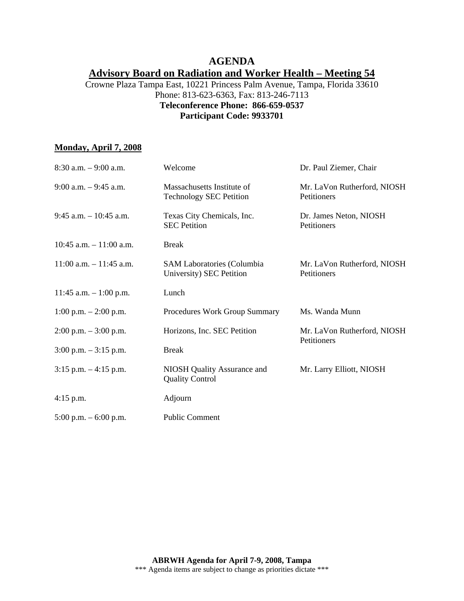# **AGENDA Advisory Board on Radiation and Worker Health – Meeting 54**

### Crowne Plaza Tampa East, 10221 Princess Palm Avenue, Tampa, Florida 33610 Phone: 813-623-6363, Fax: 813-246-7113 **Teleconference Phone: 866-659-0537 Participant Code: 9933701**

### **Monday, April 7, 2008**

| $8:30$ a.m. $-9:00$ a.m.   | Welcome                                                       | Dr. Paul Ziemer, Chair                     |
|----------------------------|---------------------------------------------------------------|--------------------------------------------|
| $9:00$ a.m. $-9:45$ a.m.   | Massachusetts Institute of<br><b>Technology SEC Petition</b>  | Mr. LaVon Rutherford, NIOSH<br>Petitioners |
| $9:45$ a.m. $-10:45$ a.m.  | Texas City Chemicals, Inc.<br><b>SEC</b> Petition             | Dr. James Neton, NIOSH<br>Petitioners      |
| 10:45 a.m. $-11:00$ a.m.   | <b>Break</b>                                                  |                                            |
| $11:00$ a.m. $-11:45$ a.m. | <b>SAM Laboratories (Columbia</b><br>University) SEC Petition | Mr. LaVon Rutherford, NIOSH<br>Petitioners |
| 11:45 a.m. $-1:00$ p.m.    | Lunch                                                         |                                            |
| $1:00$ p.m. $-2:00$ p.m.   | Procedures Work Group Summary                                 | Ms. Wanda Munn                             |
| $2:00$ p.m. $-3:00$ p.m.   | Horizons, Inc. SEC Petition                                   | Mr. LaVon Rutherford, NIOSH                |
| $3:00$ p.m. $-3:15$ p.m.   | <b>Break</b>                                                  | Petitioners                                |
| $3:15$ p.m. $-4:15$ p.m.   | NIOSH Quality Assurance and<br><b>Quality Control</b>         | Mr. Larry Elliott, NIOSH                   |
| $4:15$ p.m.                | Adjourn                                                       |                                            |
| $5:00$ p.m. $-6:00$ p.m.   | <b>Public Comment</b>                                         |                                            |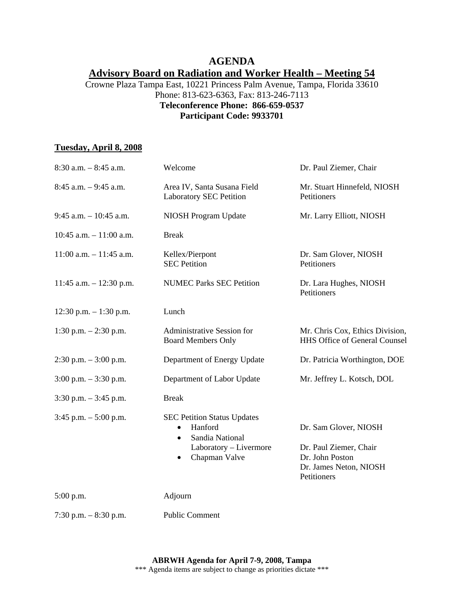# **AGENDA Advisory Board on Radiation and Worker Health – Meeting 54**

### Crowne Plaza Tampa East, 10221 Princess Palm Avenue, Tampa, Florida 33610 Phone: 813-623-6363, Fax: 813-246-7113 **Teleconference Phone: 866-659-0537 Participant Code: 9933701**

### **Tuesday, April 8, 2008**

| $8:30$ a.m. $-8:45$ a.m.   | Welcome                                                                                                                                            | Dr. Paul Ziemer, Chair                                                                                      |
|----------------------------|----------------------------------------------------------------------------------------------------------------------------------------------------|-------------------------------------------------------------------------------------------------------------|
| $8:45$ a.m. $-9:45$ a.m.   | Area IV, Santa Susana Field<br><b>Laboratory SEC Petition</b>                                                                                      | Mr. Stuart Hinnefeld, NIOSH<br>Petitioners                                                                  |
| $9:45$ a.m. $-10:45$ a.m.  | NIOSH Program Update                                                                                                                               | Mr. Larry Elliott, NIOSH                                                                                    |
| $10:45$ a.m. $-11:00$ a.m. | <b>Break</b>                                                                                                                                       |                                                                                                             |
| $11:00$ a.m. $-11:45$ a.m. | Kellex/Pierpont<br><b>SEC Petition</b>                                                                                                             | Dr. Sam Glover, NIOSH<br>Petitioners                                                                        |
| 11:45 a.m. $- 12:30$ p.m.  | <b>NUMEC Parks SEC Petition</b>                                                                                                                    | Dr. Lara Hughes, NIOSH<br>Petitioners                                                                       |
| $12:30$ p.m. $-1:30$ p.m.  | Lunch                                                                                                                                              |                                                                                                             |
| 1:30 p.m. $-2:30$ p.m.     | <b>Administrative Session for</b><br><b>Board Members Only</b>                                                                                     | Mr. Chris Cox, Ethics Division,<br><b>HHS Office of General Counsel</b>                                     |
| $2:30$ p.m. $-3:00$ p.m.   | Department of Energy Update                                                                                                                        | Dr. Patricia Worthington, DOE                                                                               |
| $3:00$ p.m. $-3:30$ p.m.   | Department of Labor Update                                                                                                                         | Mr. Jeffrey L. Kotsch, DOL                                                                                  |
| $3:30$ p.m. $-3:45$ p.m.   | <b>Break</b>                                                                                                                                       |                                                                                                             |
| $3:45$ p.m. $-5:00$ p.m.   | <b>SEC Petition Status Updates</b><br>Hanford<br>$\bullet$<br>Sandia National<br>$\bullet$<br>Laboratory - Livermore<br>Chapman Valve<br>$\bullet$ | Dr. Sam Glover, NIOSH<br>Dr. Paul Ziemer, Chair<br>Dr. John Poston<br>Dr. James Neton, NIOSH<br>Petitioners |
| $5:00$ p.m.                | Adjourn                                                                                                                                            |                                                                                                             |
| 7:30 p.m. $-8:30$ p.m.     | <b>Public Comment</b>                                                                                                                              |                                                                                                             |